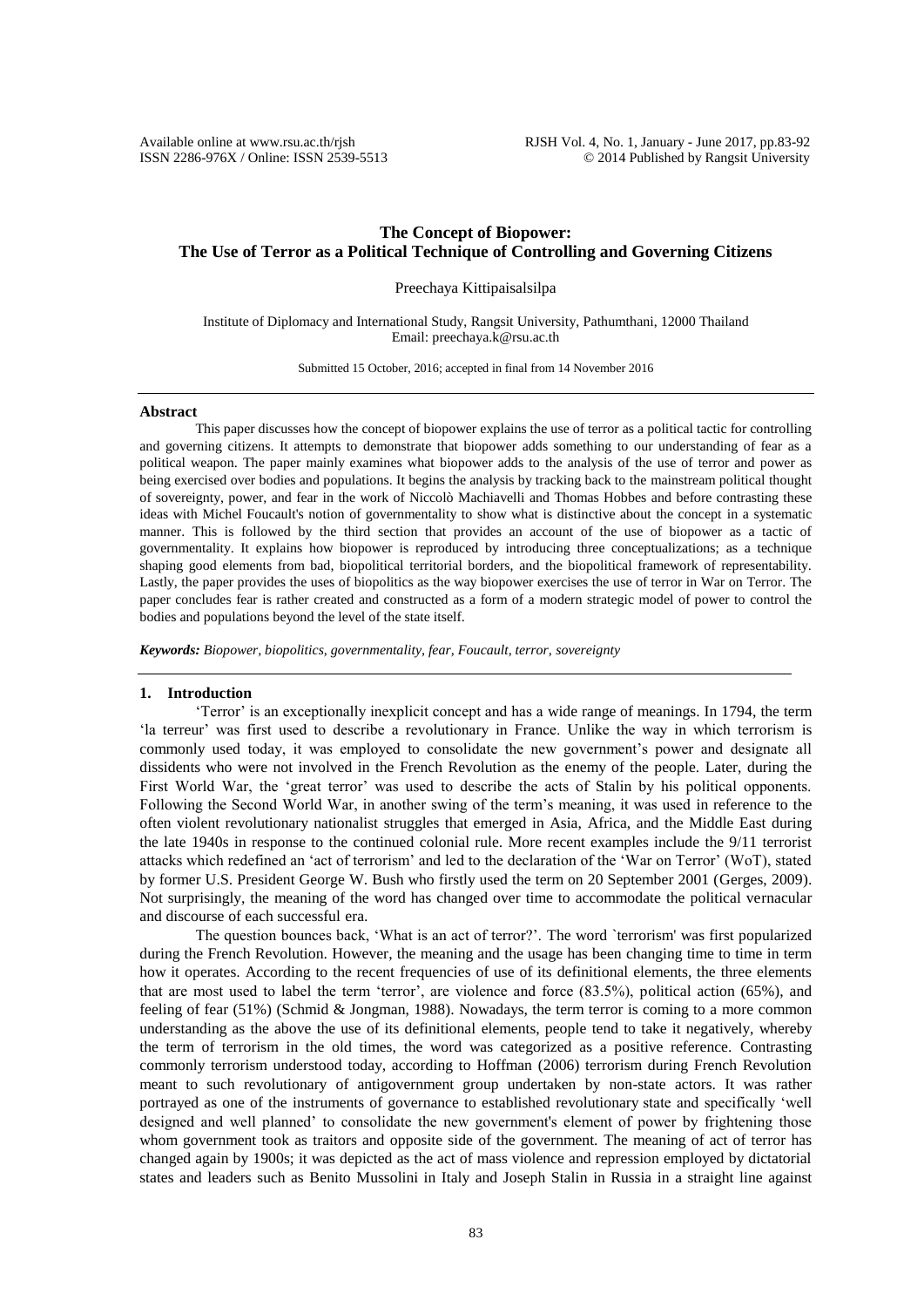# **The Concept of Biopower: The Use of Terror as a Political Technique of Controlling and Governing Citizens**

Preechaya Kittipaisalsilpa

Institute of Diplomacy and International Study, Rangsit University, Pathumthani, 12000 Thailand Email: preechaya.k@rsu.ac.th

Submitted 15 October, 2016; accepted in final from 14 November 2016

### **Abstract**

This paper discusses how the concept of biopower explains the use of terror as a political tactic for controlling and governing citizens. It attempts to demonstrate that biopower adds something to our understanding of fear as a political weapon. The paper mainly examines what biopower adds to the analysis of the use of terror and power as being exercised over bodies and populations. It begins the analysis by tracking back to the mainstream political thought of sovereignty, power, and fear in the work of Niccolò Machiavelli and Thomas Hobbes and before contrasting these ideas with Michel Foucault's notion of governmentality to show what is distinctive about the concept in a systematic manner. This is followed by the third section that provides an account of the use of biopower as a tactic of governmentality. It explains how biopower is reproduced by introducing three conceptualizations; as a technique shaping good elements from bad, biopolitical territorial borders, and the biopolitical framework of representability. Lastly, the paper provides the uses of biopolitics as the way biopower exercises the use of terror in War on Terror. The paper concludes fear is rather created and constructed as a form of a modern strategic model of power to control the bodies and populations beyond the level of the state itself.

*Keywords: Biopower, biopolitics, governmentality, fear, Foucault, terror, sovereignty*

#### **1. Introduction**

'Terror' is an exceptionally inexplicit concept and has a wide range of meanings. In 1794, the term 'la terreur' was first used to describe a revolutionary in France. Unlike the way in which terrorism is commonly used today, it was employed to consolidate the new government's power and designate all dissidents who were not involved in the French Revolution as the enemy of the people. Later, during the First World War, the 'great terror' was used to describe the acts of Stalin by his political opponents. Following the Second World War, in another swing of the term's meaning, it was used in reference to the often violent revolutionary nationalist struggles that emerged in Asia, Africa, and the Middle East during the late 1940s in response to the continued colonial rule. More recent examples include the 9/11 terrorist attacks which redefined an 'act of terrorism' and led to the declaration of the 'War on Terror' (WoT), stated by former U.S. President George W. Bush who firstly used the term on 20 September 2001 (Gerges, 2009). Not surprisingly, the meaning of the word has changed over time to accommodate the political vernacular and discourse of each successful era.

The question bounces back, 'What is an act of terror?'. The word `terrorism' was first popularized during the French Revolution. However, the meaning and the usage has been changing time to time in term how it operates. According to the recent frequencies of use of its definitional elements, the three elements that are most used to label the term 'terror', are violence and force (83.5%), political action (65%), and feeling of fear (51%) (Schmid & Jongman, 1988). Nowadays, the term terror is coming to a more common understanding as the above the use of its definitional elements, people tend to take it negatively, whereby the term of terrorism in the old times, the word was categorized as a positive reference. Contrasting commonly terrorism understood today, according to Hoffman (2006) terrorism during French Revolution meant to such revolutionary of antigovernment group undertaken by non-state actors. It was rather portrayed as one of the instruments of governance to established revolutionary state and specifically 'well designed and well planned' to consolidate the new government's element of power by frightening those whom government took as traitors and opposite side of the government. The meaning of act of terror has changed again by 1900s; it was depicted as the act of mass violence and repression employed by dictatorial states and leaders such as Benito Mussolini in Italy and Joseph Stalin in Russia in a straight line against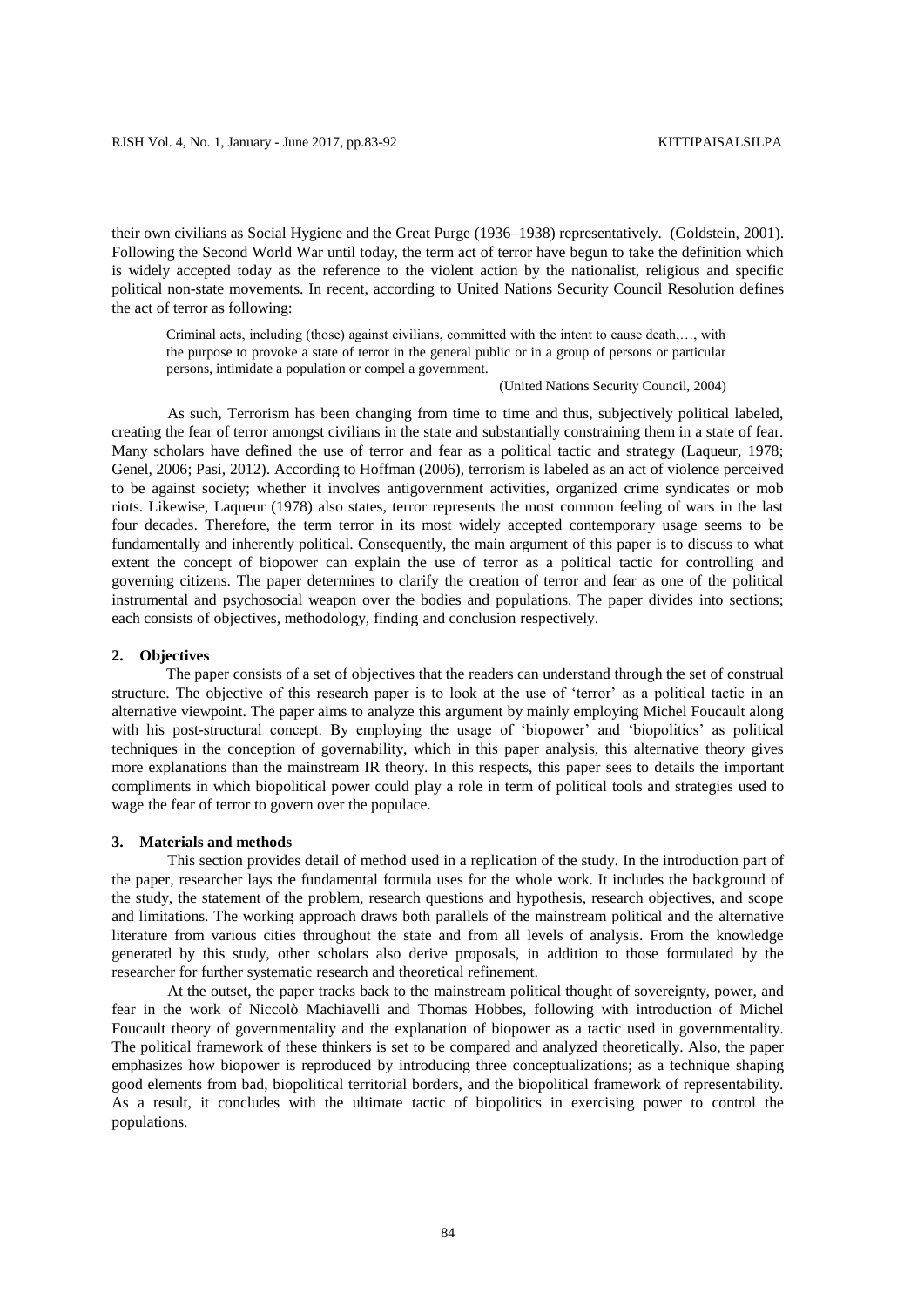their own civilians as Social Hygiene and the Great Purge (1936–1938) representatively. (Goldstein, 2001). Following the Second World War until today, the term act of terror have begun to take the definition which is widely accepted today as the reference to the violent action by the nationalist, religious and specific political non-state movements. In recent, according to United Nations Security Council Resolution defines the act of terror as following:

Criminal acts, including (those) against civilians, committed with the intent to cause death,…, with the purpose to provoke a state of terror in the general public or in a group of persons or particular persons, intimidate a population or compel a government.

(United Nations Security Council, 2004)

As such, Terrorism has been changing from time to time and thus, subjectively political labeled, creating the fear of terror amongst civilians in the state and substantially constraining them in a state of fear. Many scholars have defined the use of terror and fear as a political tactic and strategy (Laqueur, 1978; Genel, 2006; Pasi, 2012). According to Hoffman (2006), terrorism is labeled as an act of violence perceived to be against society; whether it involves antigovernment activities, organized crime syndicates or mob riots. Likewise, Laqueur (1978) also states, terror represents the most common feeling of wars in the last four decades. Therefore, the term terror in its most widely accepted contemporary usage seems to be fundamentally and inherently political. Consequently, the main argument of this paper is to discuss to what extent the concept of biopower can explain the use of terror as a political tactic for controlling and governing citizens. The paper determines to clarify the creation of terror and fear as one of the political instrumental and psychosocial weapon over the bodies and populations. The paper divides into sections; each consists of objectives, methodology, finding and conclusion respectively.

# **2. Objectives**

The paper consists of a set of objectives that the readers can understand through the set of construal structure. The objective of this research paper is to look at the use of 'terror' as a political tactic in an alternative viewpoint. The paper aims to analyze this argument by mainly employing Michel Foucault along with his post-structural concept. By employing the usage of 'biopower' and 'biopolitics' as political techniques in the conception of governability, which in this paper analysis, this alternative theory gives more explanations than the mainstream IR theory. In this respects, this paper sees to details the important compliments in which biopolitical power could play a role in term of political tools and strategies used to wage the fear of terror to govern over the populace.

### **3. Materials and methods**

This section provides detail of method used in a replication of the study. In the introduction part of the paper, researcher lays the fundamental formula uses for the whole work. It includes the background of the study, the statement of the problem, research questions and hypothesis, research objectives, and scope and limitations. The working approach draws both parallels of the mainstream political and the alternative literature from various cities throughout the state and from all levels of analysis. From the knowledge generated by this study, other scholars also derive proposals, in addition to those formulated by the researcher for further systematic research and theoretical refinement.

At the outset, the paper tracks back to the mainstream political thought of sovereignty, power, and fear in the work of Niccolò Machiavelli and Thomas Hobbes, following with introduction of Michel Foucault theory of governmentality and the explanation of biopower as a tactic used in governmentality. The political framework of these thinkers is set to be compared and analyzed theoretically. Also, the paper emphasizes how biopower is reproduced by introducing three conceptualizations; as a technique shaping good elements from bad, biopolitical territorial borders, and the biopolitical framework of representability. As a result, it concludes with the ultimate tactic of biopolitics in exercising power to control the populations.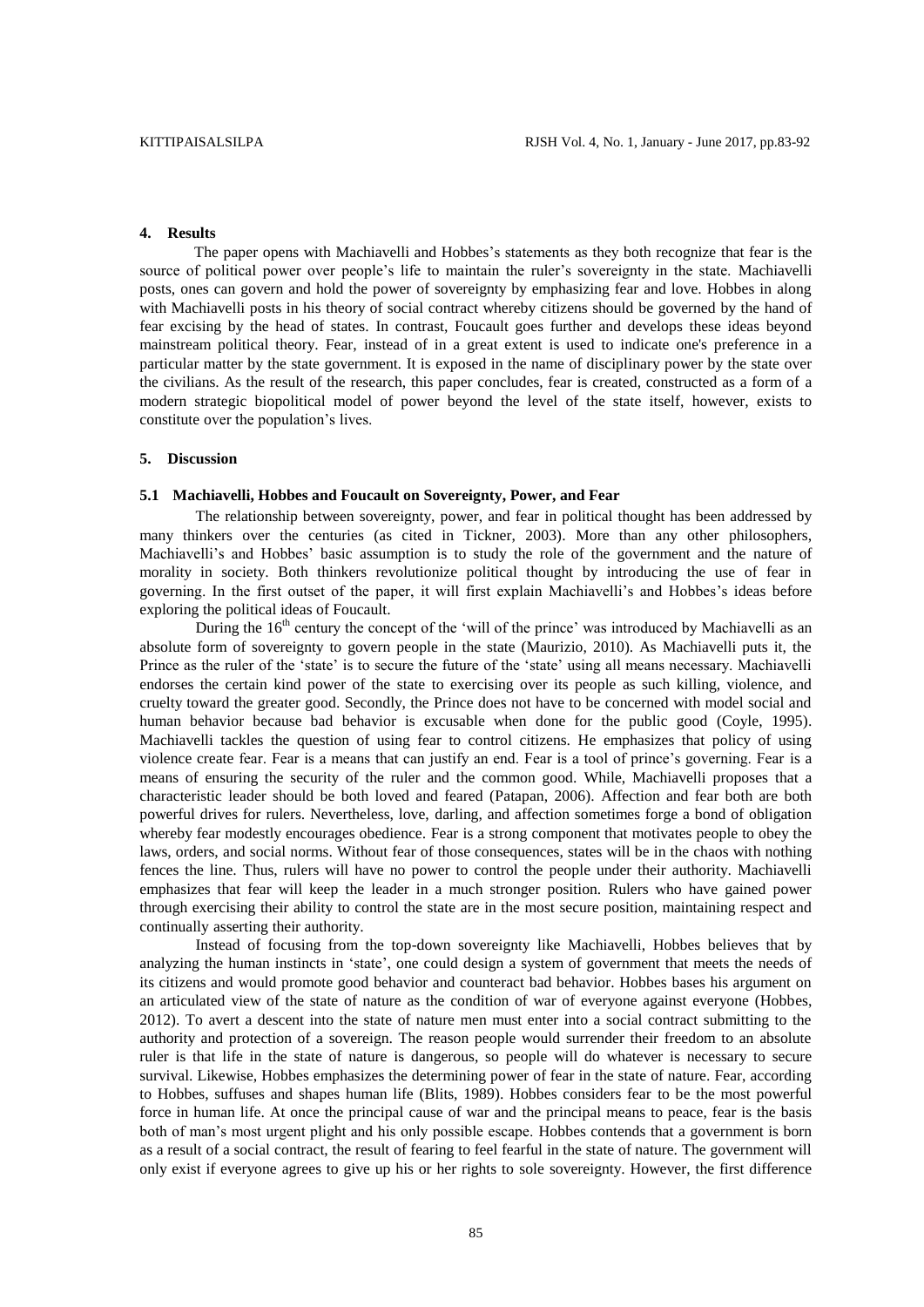# **4. Results**

The paper opens with Machiavelli and Hobbes's statements as they both recognize that fear is the source of political power over people's life to maintain the ruler's sovereignty in the state. Machiavelli posts, ones can govern and hold the power of sovereignty by emphasizing fear and love. Hobbes in along with Machiavelli posts in his theory of social contract whereby citizens should be governed by the hand of fear excising by the head of states. In contrast, Foucault goes further and develops these ideas beyond mainstream political theory. Fear, instead of in a great extent is used to indicate one's preference in a particular matter by the state government. It is exposed in the name of disciplinary power by the state over the civilians. As the result of the research, this paper concludes, fear is created, constructed as a form of a modern strategic biopolitical model of power beyond the level of the state itself, however, exists to constitute over the population's lives.

### **5. Discussion**

#### **5.1 Machiavelli, Hobbes and Foucault on Sovereignty, Power, and Fear**

The relationship between sovereignty, power, and fear in political thought has been addressed by many thinkers over the centuries (as cited in Tickner, 2003). More than any other philosophers, Machiavelli's and Hobbes' basic assumption is to study the role of the government and the nature of morality in society. Both thinkers revolutionize political thought by introducing the use of fear in governing. In the first outset of the paper, it will first explain Machiavelli's and Hobbes's ideas before exploring the political ideas of Foucault.

During the  $16<sup>th</sup>$  century the concept of the 'will of the prince' was introduced by Machiavelli as an absolute form of sovereignty to govern people in the state (Maurizio, 2010). As Machiavelli puts it, the Prince as the ruler of the 'state' is to secure the future of the 'state' using all means necessary. Machiavelli endorses the certain kind power of the state to exercising over its people as such killing, violence, and cruelty toward the greater good. Secondly, the Prince does not have to be concerned with model social and human behavior because bad behavior is excusable when done for the public good (Coyle, 1995). Machiavelli tackles the question of using fear to control citizens. He emphasizes that policy of using violence create fear. Fear is a means that can justify an end. Fear is a tool of prince's governing. Fear is a means of ensuring the security of the ruler and the common good. While, Machiavelli proposes that a characteristic leader should be both loved and feared (Patapan, 2006). Affection and fear both are both powerful drives for rulers. Nevertheless, love, darling, and affection sometimes forge a bond of obligation whereby fear modestly encourages obedience. Fear is a strong component that motivates people to obey the laws, orders, and social norms. Without fear of those consequences, states will be in the chaos with nothing fences the line. Thus, rulers will have no power to control the people under their authority. Machiavelli emphasizes that fear will keep the leader in a much stronger position. Rulers who have gained power through exercising their ability to control the state are in the most secure position, maintaining respect and continually asserting their authority.

Instead of focusing from the top-down sovereignty like Machiavelli, Hobbes believes that by analyzing the human instincts in 'state', one could design a system of government that meets the needs of its citizens and would promote good behavior and counteract bad behavior. Hobbes bases his argument on an articulated view of the state of nature as the condition of war of everyone against everyone (Hobbes, 2012). To avert a descent into the state of nature men must enter into a social contract submitting to the authority and protection of a sovereign. The reason people would surrender their freedom to an absolute ruler is that life in the state of nature is dangerous, so people will do whatever is necessary to secure survival. Likewise, Hobbes emphasizes the determining power of fear in the state of nature. Fear, according to Hobbes, suffuses and shapes human life (Blits, 1989). Hobbes considers fear to be the most powerful force in human life. At once the principal cause of war and the principal means to peace, fear is the basis both of man's most urgent plight and his only possible escape. Hobbes contends that a government is born as a result of a social contract, the result of fearing to feel fearful in the state of nature. The government will only exist if everyone agrees to give up his or her rights to sole sovereignty. However, the first difference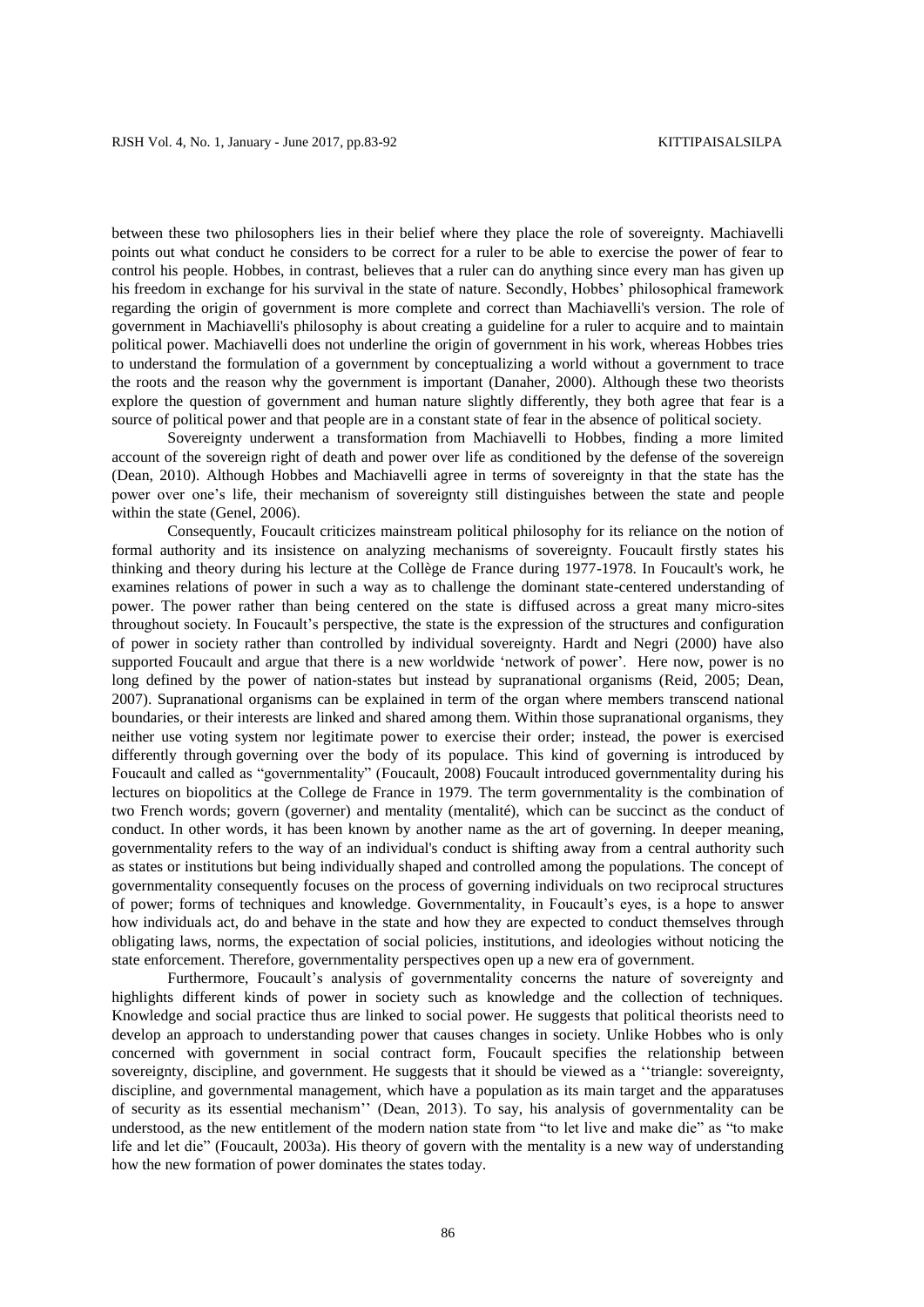between these two philosophers lies in their belief where they place the role of sovereignty. Machiavelli points out what conduct he considers to be correct for a ruler to be able to exercise the power of fear to control his people. Hobbes, in contrast, believes that a ruler can do anything since every man has given up his freedom in exchange for his survival in the state of nature. Secondly, Hobbes' philosophical framework regarding the origin of government is more complete and correct than Machiavelli's version. The role of government in Machiavelli's philosophy is about creating a guideline for a ruler to acquire and to maintain political power. Machiavelli does not underline the origin of government in his work, whereas Hobbes tries to understand the formulation of a government by conceptualizing a world without a government to trace the roots and the reason why the government is important (Danaher, 2000). Although these two theorists explore the question of government and human nature slightly differently, they both agree that fear is a source of political power and that people are in a constant state of fear in the absence of political society.

Sovereignty underwent a transformation from Machiavelli to Hobbes, finding a more limited account of the sovereign right of death and power over life as conditioned by the defense of the sovereign (Dean, 2010). Although Hobbes and Machiavelli agree in terms of sovereignty in that the state has the power over one's life, their mechanism of sovereignty still distinguishes between the state and people within the state (Genel, 2006).

Consequently, Foucault criticizes mainstream political philosophy for its reliance on the notion of formal authority and its insistence on analyzing mechanisms of sovereignty. Foucault firstly states his thinking and theory during his lecture at the Collège de France during 1977-1978. In Foucault's work, he examines relations of power in such a way as to challenge the dominant state-centered understanding of power. The power rather than being centered on the state is diffused across a great many micro-sites throughout society. In Foucault's perspective, the state is the expression of the structures and configuration of power in society rather than controlled by individual sovereignty. Hardt and Negri (2000) have also supported Foucault and argue that there is a new worldwide 'network of power'. Here now, power is no long defined by the power of nation-states but instead by supranational organisms (Reid, 2005; Dean, 2007). Supranational organisms can be explained in term of the organ where members transcend national boundaries, or their interests are linked and shared among them. Within those supranational organisms, they neither use voting system nor legitimate power to exercise their order; instead, the power is exercised differently through governing over the body of its populace. This kind of governing is introduced by Foucault and called as "governmentality" (Foucault, 2008) Foucault introduced governmentality during his lectures on biopolitics at the College de France in 1979. The term governmentality is the combination of two French words; govern (governer) and mentality (mentalité), which can be succinct as the conduct of conduct. In other words, it has been known by another name as the art of governing. In deeper meaning, governmentality refers to the way of an individual's conduct is shifting away from a central authority such as states or institutions but being individually shaped and controlled among the populations. The concept of governmentality consequently focuses on the process of governing individuals on two reciprocal structures of power; forms of techniques and knowledge. Governmentality, in Foucault's eyes, is a hope to answer how individuals act, do and behave in the state and how they are expected to conduct themselves through obligating laws, norms, the expectation of social policies, institutions, and ideologies without noticing the state enforcement. Therefore, governmentality perspectives open up a new era of government.

Furthermore, Foucault's analysis of governmentality concerns the nature of sovereignty and highlights different kinds of power in society such as knowledge and the collection of techniques. Knowledge and social practice thus are linked to social power. He suggests that political theorists need to develop an approach to understanding power that causes changes in society. Unlike Hobbes who is only concerned with government in social contract form, Foucault specifies the relationship between sovereignty, discipline, and government. He suggests that it should be viewed as a ''triangle: sovereignty, discipline, and governmental management, which have a population as its main target and the apparatuses of security as its essential mechanism'' (Dean, 2013). To say, his analysis of governmentality can be understood, as the new entitlement of the modern nation state from "to let live and make die" as "to make life and let die" (Foucault, 2003a). His theory of govern with the mentality is a new way of understanding how the new formation of power dominates the states today.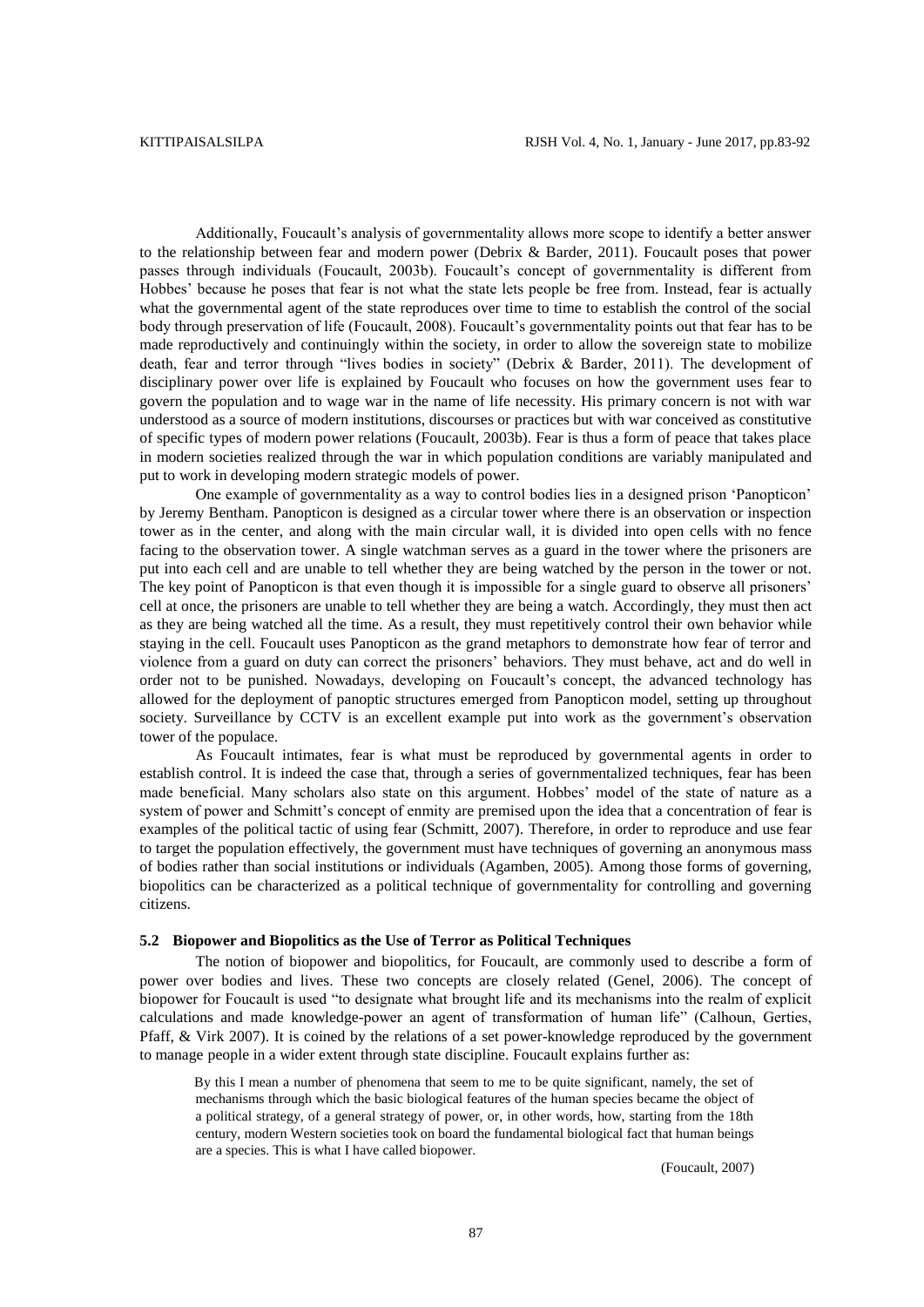Additionally, Foucault's analysis of governmentality allows more scope to identify a better answer to the relationship between fear and modern power (Debrix & Barder, 2011). Foucault poses that power passes through individuals (Foucault, 2003b). Foucault's concept of governmentality is different from Hobbes' because he poses that fear is not what the state lets people be free from. Instead, fear is actually what the governmental agent of the state reproduces over time to time to establish the control of the social body through preservation of life (Foucault, 2008). Foucault's governmentality points out that fear has to be made reproductively and continuingly within the society, in order to allow the sovereign state to mobilize death, fear and terror through "lives bodies in society" (Debrix & Barder, 2011). The development of disciplinary power over life is explained by Foucault who focuses on how the government uses fear to govern the population and to wage war in the name of life necessity. His primary concern is not with war understood as a source of modern institutions, discourses or practices but with war conceived as constitutive of specific types of modern power relations (Foucault, 2003b). Fear is thus a form of peace that takes place in modern societies realized through the war in which population conditions are variably manipulated and put to work in developing modern strategic models of power.

One example of governmentality as a way to control bodies lies in a designed prison 'Panopticon' by Jeremy Bentham. Panopticon is designed as a circular tower where there is an observation or inspection tower as in the center, and along with the main circular wall, it is divided into open cells with no fence facing to the observation tower. A single watchman serves as a guard in the tower where the prisoners are put into each cell and are unable to tell whether they are being watched by the person in the tower or not. The key point of Panopticon is that even though it is impossible for a single guard to observe all prisoners' cell at once, the prisoners are unable to tell whether they are being a watch. Accordingly, they must then act as they are being watched all the time. As a result, they must repetitively control their own behavior while staying in the cell. Foucault uses Panopticon as the grand metaphors to demonstrate how fear of terror and violence from a guard on duty can correct the prisoners' behaviors. They must behave, act and do well in order not to be punished. Nowadays, developing on Foucault's concept, the advanced technology has allowed for the deployment of panoptic structures emerged from Panopticon model, setting up throughout society. Surveillance by CCTV is an excellent example put into work as the government's observation tower of the populace.

As Foucault intimates, fear is what must be reproduced by governmental agents in order to establish control. It is indeed the case that, through a series of governmentalized techniques, fear has been made beneficial. Many scholars also state on this argument. Hobbes' model of the state of nature as a system of power and Schmitt's concept of enmity are premised upon the idea that a concentration of fear is examples of the political tactic of using fear (Schmitt, 2007). Therefore, in order to reproduce and use fear to target the population effectively, the government must have techniques of governing an anonymous mass of bodies rather than social institutions or individuals (Agamben, 2005). Among those forms of governing, biopolitics can be characterized as a political technique of governmentality for controlling and governing citizens.

# **5.2 Biopower and Biopolitics as the Use of Terror as Political Techniques**

The notion of biopower and biopolitics, for Foucault, are commonly used to describe a form of power over bodies and lives. These two concepts are closely related (Genel, 2006). The concept of biopower for Foucault is used "to designate what brought life and its mechanisms into the realm of explicit calculations and made knowledge-power an agent of transformation of human life" (Calhoun, Gerties, Pfaff, & Virk 2007). It is coined by the relations of a set power-knowledge reproduced by the government to manage people in a wider extent through state discipline. Foucault explains further as:

By this I mean a number of phenomena that seem to me to be quite significant, namely, the set of mechanisms through which the basic biological features of the human species became the object of a political strategy, of a general strategy of power, or, in other words, how, starting from the 18th century, modern Western societies took on board the fundamental biological fact that human beings are a species. This is what I have called biopower.

(Foucault, 2007)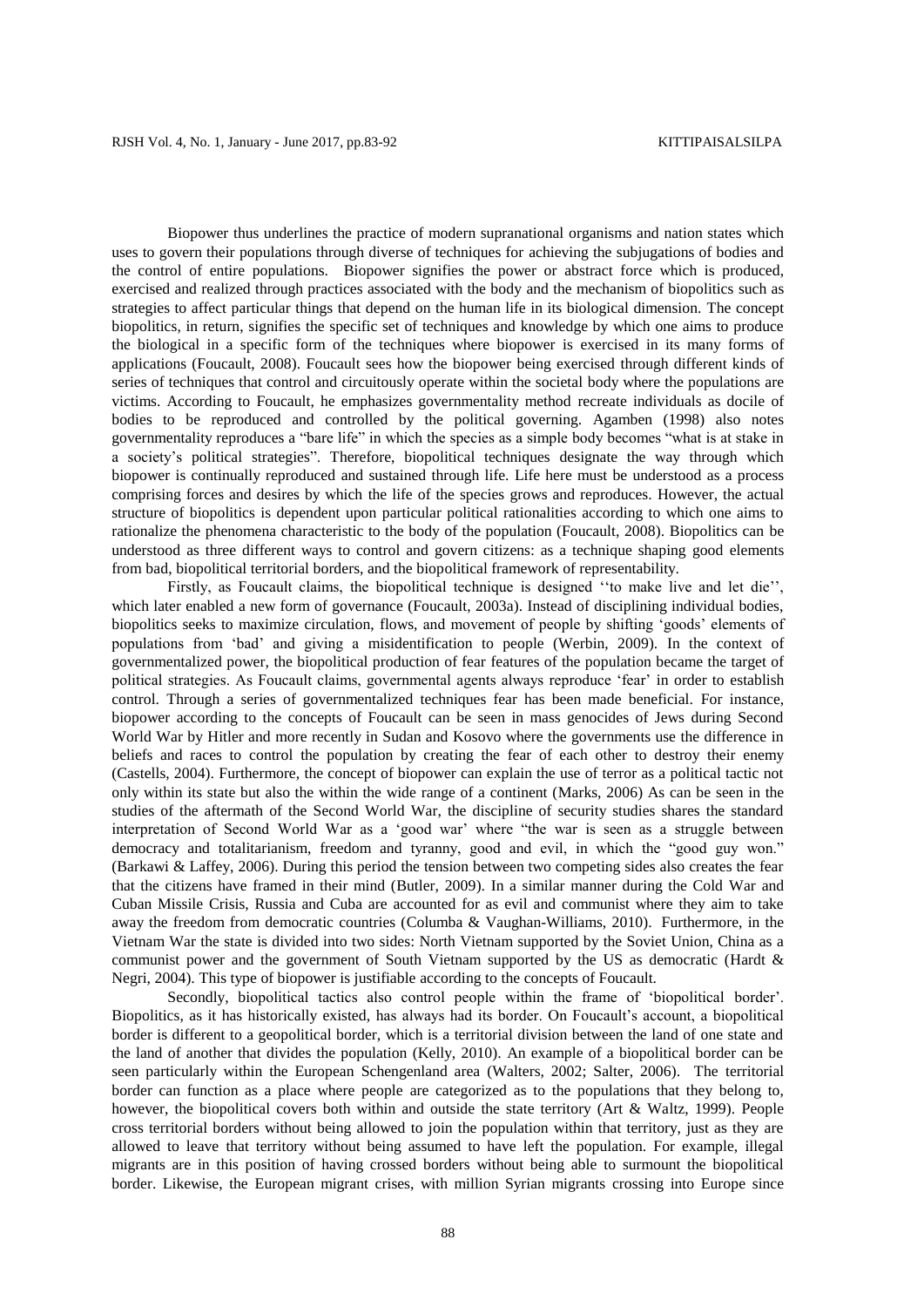Biopower thus underlines the practice of modern supranational organisms and nation states which uses to govern their populations through diverse of techniques for achieving the subjugations of bodies and the control of entire populations. Biopower signifies the power or abstract force which is produced, exercised and realized through practices associated with the body and the mechanism of biopolitics such as strategies to affect particular things that depend on the human life in its biological dimension. The concept biopolitics, in return, signifies the specific set of techniques and knowledge by which one aims to produce the biological in a specific form of the techniques where biopower is exercised in its many forms of applications (Foucault, 2008). Foucault sees how the biopower being exercised through different kinds of series of techniques that control and circuitously operate within the societal body where the populations are victims. According to Foucault, he emphasizes governmentality method recreate individuals as docile of bodies to be reproduced and controlled by the political governing. Agamben (1998) also notes governmentality reproduces a "bare life" in which the species as a simple body becomes "what is at stake in a society's political strategies". Therefore, biopolitical techniques designate the way through which biopower is continually reproduced and sustained through life. Life here must be understood as a process comprising forces and desires by which the life of the species grows and reproduces. However, the actual structure of biopolitics is dependent upon particular political rationalities according to which one aims to rationalize the phenomena characteristic to the body of the population (Foucault, 2008). Biopolitics can be understood as three different ways to control and govern citizens: as a technique shaping good elements from bad, biopolitical territorial borders, and the biopolitical framework of representability.

Firstly, as Foucault claims, the biopolitical technique is designed ''to make live and let die'', which later enabled a new form of governance (Foucault, 2003a). Instead of disciplining individual bodies, biopolitics seeks to maximize circulation, flows, and movement of people by shifting 'goods' elements of populations from 'bad' and giving a misidentification to people (Werbin, 2009). In the context of governmentalized power, the biopolitical production of fear features of the population became the target of political strategies. As Foucault claims, governmental agents always reproduce 'fear' in order to establish control. Through a series of governmentalized techniques fear has been made beneficial. For instance, biopower according to the concepts of Foucault can be seen in mass genocides of Jews during Second World War by Hitler and more recently in Sudan and Kosovo where the governments use the difference in beliefs and races to control the population by creating the fear of each other to destroy their enemy (Castells, 2004). Furthermore, the concept of biopower can explain the use of terror as a political tactic not only within its state but also the within the wide range of a continent (Marks, 2006) As can be seen in the studies of the aftermath of the Second World War, the discipline of security studies shares the standard interpretation of Second World War as a 'good war' where "the war is seen as a struggle between democracy and totalitarianism, freedom and tyranny, good and evil, in which the "good guy won." (Barkawi & Laffey, 2006). During this period the tension between two competing sides also creates the fear that the citizens have framed in their mind (Butler, 2009). In a similar manner during the Cold War and Cuban Missile Crisis, Russia and Cuba are accounted for as evil and communist where they aim to take away the freedom from democratic countries (Columba & Vaughan-Williams, 2010). Furthermore, in the Vietnam War the state is divided into two sides: North Vietnam supported by the Soviet Union, China as a communist power and the government of South Vietnam supported by the US as democratic (Hardt & Negri, 2004). This type of biopower is justifiable according to the concepts of Foucault.

Secondly, biopolitical tactics also control people within the frame of 'biopolitical border'. Biopolitics, as it has historically existed, has always had its border. On Foucault's account, a biopolitical border is different to a geopolitical border, which is a territorial division between the land of one state and the land of another that divides the population (Kelly, 2010). An example of a biopolitical border can be seen particularly within the European Schengenland area (Walters, 2002; Salter, 2006). The territorial border can function as a place where people are categorized as to the populations that they belong to, however, the biopolitical covers both within and outside the state territory (Art & Waltz, 1999). People cross territorial borders without being allowed to join the population within that territory, just as they are allowed to leave that territory without being assumed to have left the population. For example, illegal migrants are in this position of having crossed borders without being able to surmount the biopolitical border. Likewise, the European migrant crises, with million Syrian migrants crossing into Europe since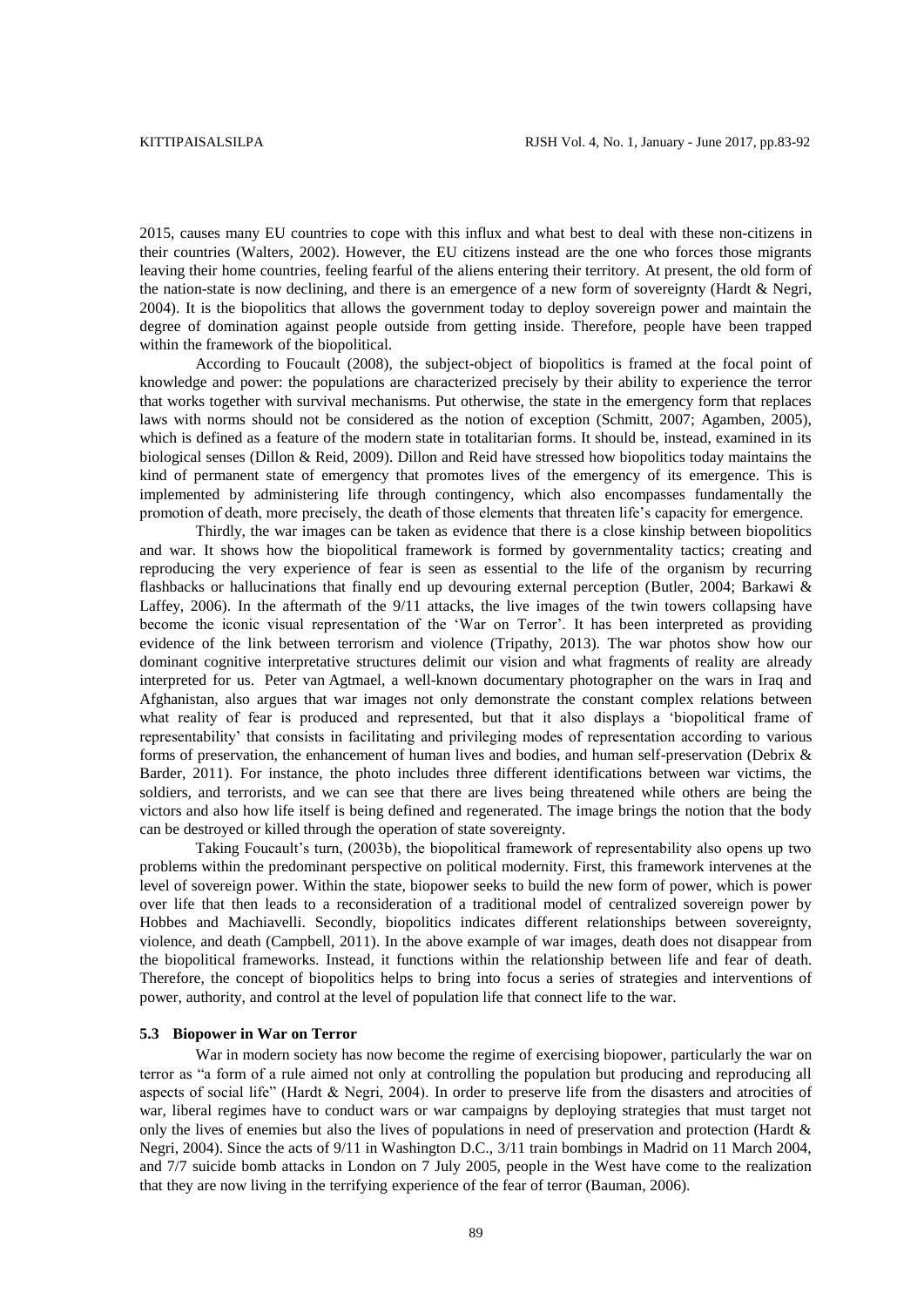2015, causes many EU countries to cope with this influx and what best to deal with these non-citizens in their countries (Walters, 2002). However, the EU citizens instead are the one who forces those migrants leaving their home countries, feeling fearful of the aliens entering their territory. At present, the old form of the nation-state is now declining, and there is an emergence of a new form of sovereignty (Hardt & Negri, 2004). It is the biopolitics that allows the government today to deploy sovereign power and maintain the degree of domination against people outside from getting inside. Therefore, people have been trapped within the framework of the biopolitical.

According to Foucault (2008), the subject-object of biopolitics is framed at the focal point of knowledge and power: the populations are characterized precisely by their ability to experience the terror that works together with survival mechanisms. Put otherwise, the state in the emergency form that replaces laws with norms should not be considered as the notion of exception (Schmitt, 2007; Agamben, 2005), which is defined as a feature of the modern state in totalitarian forms. It should be, instead, examined in its biological senses (Dillon & Reid, 2009). Dillon and Reid have stressed how biopolitics today maintains the kind of permanent state of emergency that promotes lives of the emergency of its emergence. This is implemented by administering life through contingency, which also encompasses fundamentally the promotion of death, more precisely, the death of those elements that threaten life's capacity for emergence.

Thirdly, the war images can be taken as evidence that there is a close kinship between biopolitics and war. It shows how the biopolitical framework is formed by governmentality tactics; creating and reproducing the very experience of fear is seen as essential to the life of the organism by recurring flashbacks or hallucinations that finally end up devouring external perception (Butler, 2004; Barkawi & Laffey, 2006). In the aftermath of the 9/11 attacks, the live images of the twin towers collapsing have become the iconic visual representation of the 'War on Terror'. It has been interpreted as providing evidence of the link between terrorism and violence (Tripathy, 2013). The war photos show how our dominant cognitive interpretative structures delimit our vision and what fragments of reality are already interpreted for us. Peter van Agtmael, a well-known documentary photographer on the wars in Iraq and Afghanistan, also argues that war images not only demonstrate the constant complex relations between what reality of fear is produced and represented, but that it also displays a 'biopolitical frame of representability' that consists in facilitating and privileging modes of representation according to various forms of preservation, the enhancement of human lives and bodies, and human self-preservation (Debrix & Barder, 2011). For instance, the photo includes three different identifications between war victims, the soldiers, and terrorists, and we can see that there are lives being threatened while others are being the victors and also how life itself is being defined and regenerated. The image brings the notion that the body can be destroyed or killed through the operation of state sovereignty.

Taking Foucault's turn, (2003b), the biopolitical framework of representability also opens up two problems within the predominant perspective on political modernity. First, this framework intervenes at the level of sovereign power. Within the state, biopower seeks to build the new form of power, which is power over life that then leads to a reconsideration of a traditional model of centralized sovereign power by Hobbes and Machiavelli. Secondly, biopolitics indicates different relationships between sovereignty, violence, and death (Campbell, 2011). In the above example of war images, death does not disappear from the biopolitical frameworks. Instead, it functions within the relationship between life and fear of death. Therefore, the concept of biopolitics helps to bring into focus a series of strategies and interventions of power, authority, and control at the level of population life that connect life to the war.

#### **5.3 Biopower in War on Terror**

War in modern society has now become the regime of exercising biopower, particularly the war on terror as "a form of a rule aimed not only at controlling the population but producing and reproducing all aspects of social life" (Hardt & Negri, 2004). In order to preserve life from the disasters and atrocities of war, liberal regimes have to conduct wars or war campaigns by deploying strategies that must target not only the lives of enemies but also the lives of populations in need of preservation and protection (Hardt & Negri, 2004). Since the acts of 9/11 in Washington D.C., 3/11 train bombings in Madrid on 11 March 2004, and 7/7 suicide bomb attacks in London on 7 July 2005, people in the West have come to the realization that they are now living in the terrifying experience of the fear of terror (Bauman, 2006).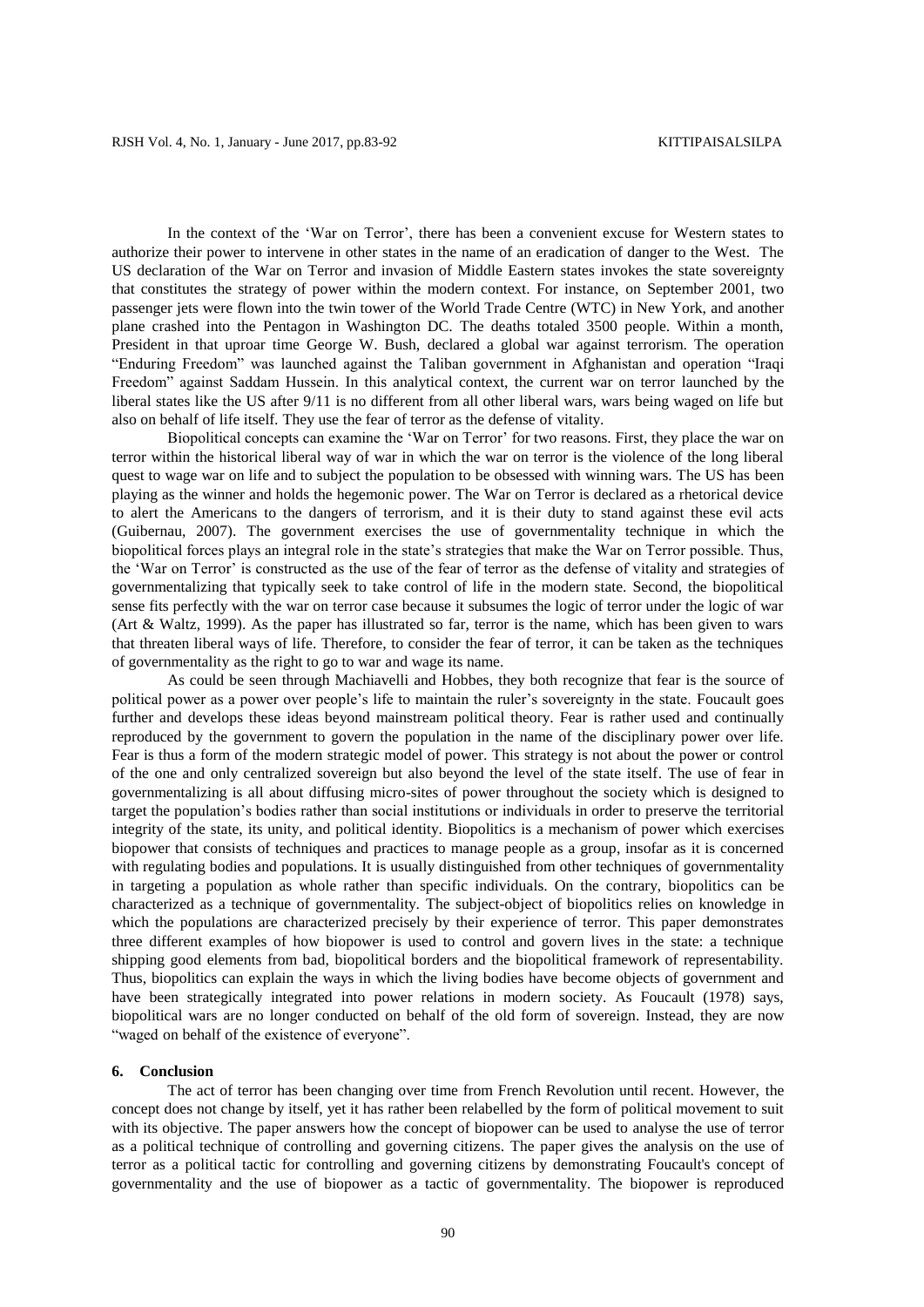In the context of the 'War on Terror', there has been a convenient excuse for Western states to authorize their power to intervene in other states in the name of an eradication of danger to the West. The US declaration of the War on Terror and invasion of Middle Eastern states invokes the state sovereignty that constitutes the strategy of power within the modern context. For instance, on September 2001, two passenger jets were flown into the twin tower of the World Trade Centre (WTC) in New York, and another plane crashed into the Pentagon in Washington DC. The deaths totaled 3500 people. Within a month, President in that uproar time George W. Bush, declared a global war against terrorism. The operation "Enduring Freedom" was launched against the Taliban government in Afghanistan and operation "Iraqi Freedom" against Saddam Hussein. In this analytical context, the current war on terror launched by the liberal states like the US after 9/11 is no different from all other liberal wars, wars being waged on life but also on behalf of life itself. They use the fear of terror as the defense of vitality.

Biopolitical concepts can examine the 'War on Terror' for two reasons. First, they place the war on terror within the historical liberal way of war in which the war on terror is the violence of the long liberal quest to wage war on life and to subject the population to be obsessed with winning wars. The US has been playing as the winner and holds the hegemonic power. The War on Terror is declared as a rhetorical device to alert the Americans to the dangers of terrorism, and it is their duty to stand against these evil acts (Guibernau, 2007). The government exercises the use of governmentality technique in which the biopolitical forces plays an integral role in the state's strategies that make the War on Terror possible. Thus, the 'War on Terror' is constructed as the use of the fear of terror as the defense of vitality and strategies of governmentalizing that typically seek to take control of life in the modern state. Second, the biopolitical sense fits perfectly with the war on terror case because it subsumes the logic of terror under the logic of war (Art & Waltz, 1999). As the paper has illustrated so far, terror is the name, which has been given to wars that threaten liberal ways of life. Therefore, to consider the fear of terror, it can be taken as the techniques of governmentality as the right to go to war and wage its name.

As could be seen through Machiavelli and Hobbes, they both recognize that fear is the source of political power as a power over people's life to maintain the ruler's sovereignty in the state. Foucault goes further and develops these ideas beyond mainstream political theory. Fear is rather used and continually reproduced by the government to govern the population in the name of the disciplinary power over life. Fear is thus a form of the modern strategic model of power. This strategy is not about the power or control of the one and only centralized sovereign but also beyond the level of the state itself. The use of fear in governmentalizing is all about diffusing micro-sites of power throughout the society which is designed to target the population's bodies rather than social institutions or individuals in order to preserve the territorial integrity of the state, its unity, and political identity. Biopolitics is a mechanism of power which exercises biopower that consists of techniques and practices to manage people as a group, insofar as it is concerned with regulating bodies and populations. It is usually distinguished from other techniques of governmentality in targeting a population as whole rather than specific individuals. On the contrary, biopolitics can be characterized as a technique of governmentality. The subject-object of biopolitics relies on knowledge in which the populations are characterized precisely by their experience of terror. This paper demonstrates three different examples of how biopower is used to control and govern lives in the state: a technique shipping good elements from bad, biopolitical borders and the biopolitical framework of representability. Thus, biopolitics can explain the ways in which the living bodies have become objects of government and have been strategically integrated into power relations in modern society. As Foucault (1978) says, biopolitical wars are no longer conducted on behalf of the old form of sovereign. Instead, they are now "waged on behalf of the existence of everyone".

### **6. Conclusion**

The act of terror has been changing over time from French Revolution until recent. However, the concept does not change by itself, yet it has rather been relabelled by the form of political movement to suit with its objective. The paper answers how the concept of biopower can be used to analyse the use of terror as a political technique of controlling and governing citizens. The paper gives the analysis on the use of terror as a political tactic for controlling and governing citizens by demonstrating Foucault's concept of governmentality and the use of biopower as a tactic of governmentality. The biopower is reproduced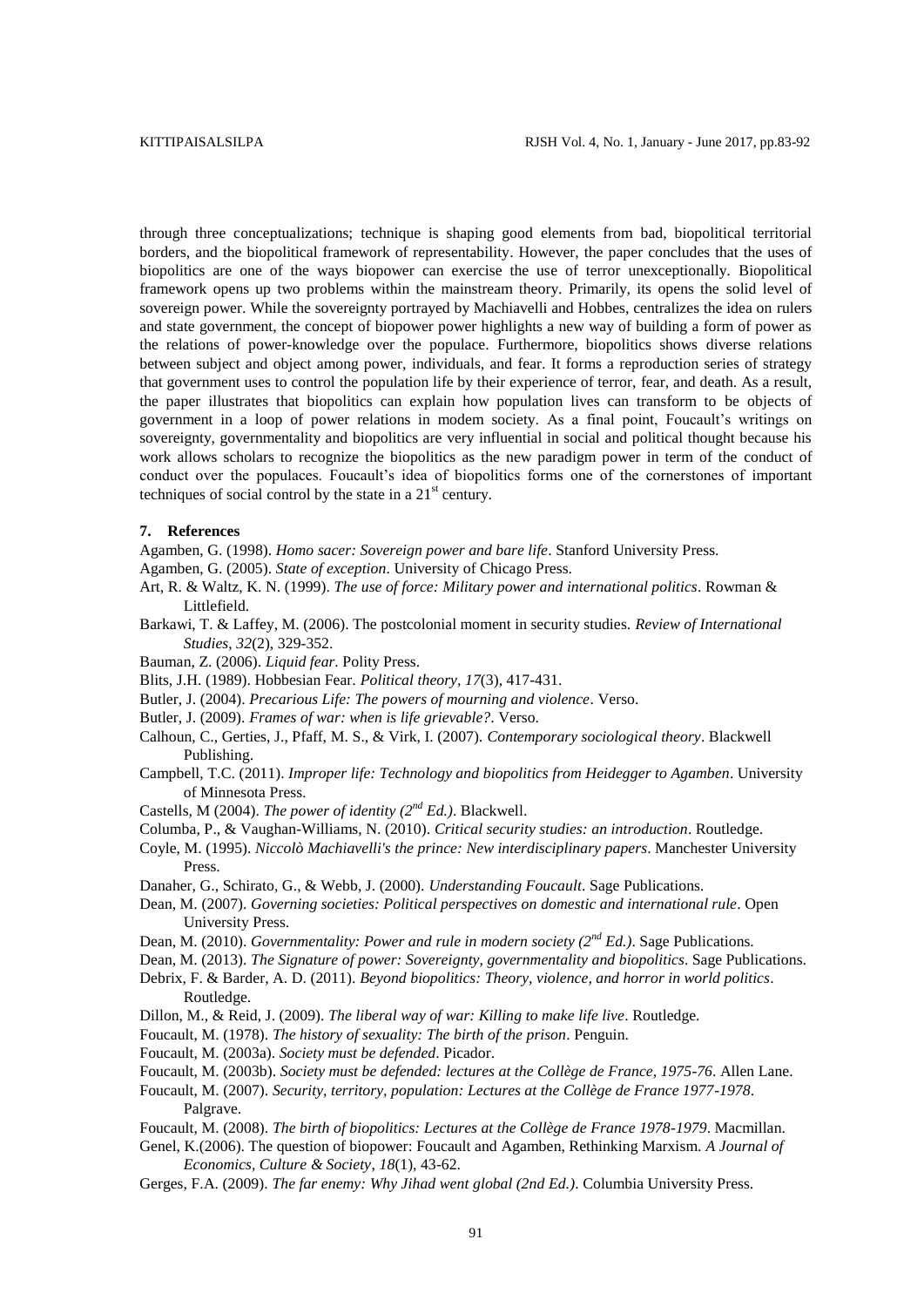through three conceptualizations; technique is shaping good elements from bad, biopolitical territorial borders, and the biopolitical framework of representability. However, the paper concludes that the uses of biopolitics are one of the ways biopower can exercise the use of terror unexceptionally. Biopolitical framework opens up two problems within the mainstream theory. Primarily, its opens the solid level of sovereign power. While the sovereignty portrayed by Machiavelli and Hobbes, centralizes the idea on rulers and state government, the concept of biopower power highlights a new way of building a form of power as the relations of power-knowledge over the populace. Furthermore, biopolitics shows diverse relations between subject and object among power, individuals, and fear. It forms a reproduction series of strategy that government uses to control the population life by their experience of terror, fear, and death. As a result, the paper illustrates that biopolitics can explain how population lives can transform to be objects of government in a loop of power relations in modem society. As a final point, Foucault's writings on sovereignty, governmentality and biopolitics are very influential in social and political thought because his work allows scholars to recognize the biopolitics as the new paradigm power in term of the conduct of conduct over the populaces. Foucault's idea of biopolitics forms one of the cornerstones of important techniques of social control by the state in a  $21<sup>st</sup>$  century.

#### **7. References**

- Agamben, G. (1998). *Homo sacer: Sovereign power and bare life*. Stanford University Press.
- Agamben, G. (2005). *State of exception*. University of Chicago Press.
- Art, R. & Waltz, K. N. (1999). *The use of force: Military power and international politics*. Rowman & Littlefield.
- Barkawi, T. & Laffey, M. (2006). The postcolonial moment in security studies. *Review of International Studies*, *32*(2), 329-352.
- Bauman, Z. (2006). *Liquid fear*. Polity Press.
- Blits, J.H. (1989). Hobbesian Fear. *Political theory, 17*(3), 417-431.
- Butler, J. (2004). *Precarious Life: The powers of mourning and violence*. Verso.
- Butler, J. (2009). *Frames of war: when is life grievable?*. Verso.
- Calhoun, C., Gerties, J., Pfaff, M. S., & Virk, I. (2007). *Contemporary sociological theory*. Blackwell Publishing.
- Campbell, T.C. (2011). *Improper life: Technology and biopolitics from Heidegger to Agamben*. University of Minnesota Press.
- Castells, M (2004). *The power of identity (2nd Ed.)*. Blackwell.
- Columba, P., & Vaughan-Williams, N. (2010). *Critical security studies: an introduction*. Routledge.
- Coyle, M. (1995). *Niccolò Machiavelli's the prince: New interdisciplinary papers*. Manchester University Press.
- Danaher, G., Schirato, G., & Webb, J. (2000). *Understanding Foucault*. Sage Publications.
- Dean, M. (2007). *Governing societies: Political perspectives on domestic and international rule*. Open University Press.
- Dean, M. (2010). *Governmentality: Power and rule in modern society (2nd Ed.)*. Sage Publications.
- Dean, M. (2013). *The Signature of power: Sovereignty, governmentality and biopolitics*. Sage Publications.
- Debrix, F. & Barder, A. D. (2011). *Beyond biopolitics: Theory, violence, and horror in world politics*. Routledge.
- Dillon, M., & Reid, J. (2009). *The liberal way of war: Killing to make life live*. Routledge.
- Foucault, M. (1978). *The history of sexuality: The birth of the prison*. Penguin.
- Foucault, M. (2003a). *Society must be defended*. Picador.
- Foucault, M. (2003b). *Society must be defended: lectures at the Collège de France, 1975-76*. Allen Lane.
- Foucault, M. (2007). *Security, territory, population: Lectures at the Collège de France 1977-1978*. Palgrave.
- Foucault, M. (2008). *The birth of biopolitics: Lectures at the Collège de France 1978-1979*. Macmillan.
- Genel, K.(2006). The question of biopower: Foucault and Agamben, Rethinking Marxism. *A Journal of Economics, Culture & Society*, *18*(1), 43-62.
- Gerges, F.A. (2009). *The far enemy: Why Jihad went global (2nd Ed.)*. Columbia University Press.